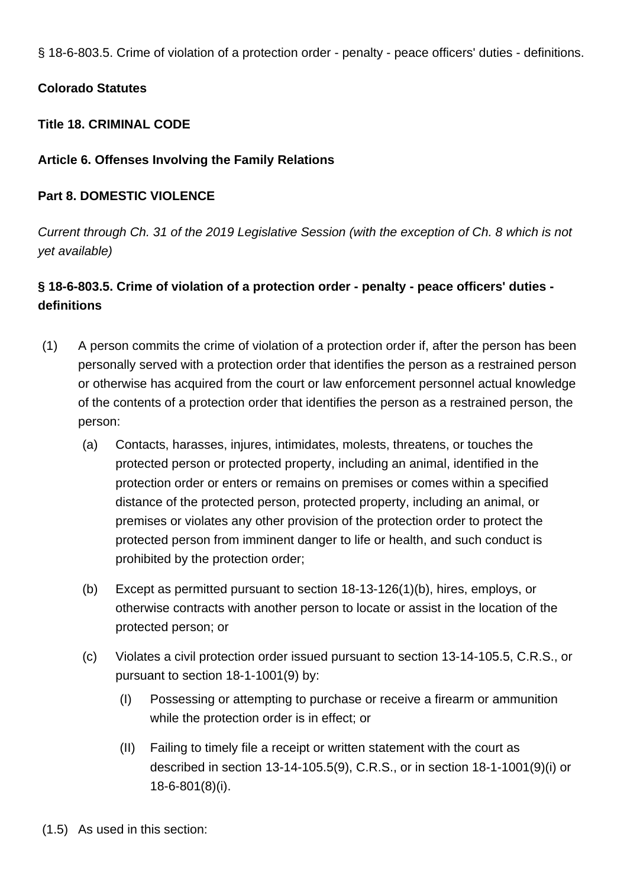§ 18-6-803.5. Crime of violation of a protection order - penalty - peace officers' duties - definitions.

## **Colorado Statutes**

## **Title 18. CRIMINAL CODE**

# **Article 6. Offenses Involving the Family Relations**

# **Part 8. DOMESTIC VIOLENCE**

Current through Ch. 31 of the 2019 Legislative Session (with the exception of Ch. 8 which is not yet available)

# **§ 18-6-803.5. Crime of violation of a protection order - penalty - peace officers' duties definitions**

- (1) A person commits the crime of violation of a protection order if, after the person has been personally served with a protection order that identifies the person as a restrained person or otherwise has acquired from the court or law enforcement personnel actual knowledge of the contents of a protection order that identifies the person as a restrained person, the person:
	- (a) Contacts, harasses, injures, intimidates, molests, threatens, or touches the protected person or protected property, including an animal, identified in the protection order or enters or remains on premises or comes within a specified distance of the protected person, protected property, including an animal, or premises or violates any other provision of the protection order to protect the protected person from imminent danger to life or health, and such conduct is prohibited by the protection order;
	- (b) Except as permitted pursuant to section 18-13-126(1)(b), hires, employs, or otherwise contracts with another person to locate or assist in the location of the protected person; or
	- (c) Violates a civil protection order issued pursuant to section 13-14-105.5, C.R.S., or pursuant to section 18-1-1001(9) by:
		- (I) Possessing or attempting to purchase or receive a firearm or ammunition while the protection order is in effect; or
		- (II) Failing to timely file a receipt or written statement with the court as described in section 13-14-105.5(9), C.R.S., or in section 18-1-1001(9)(i) or 18-6-801(8)(i).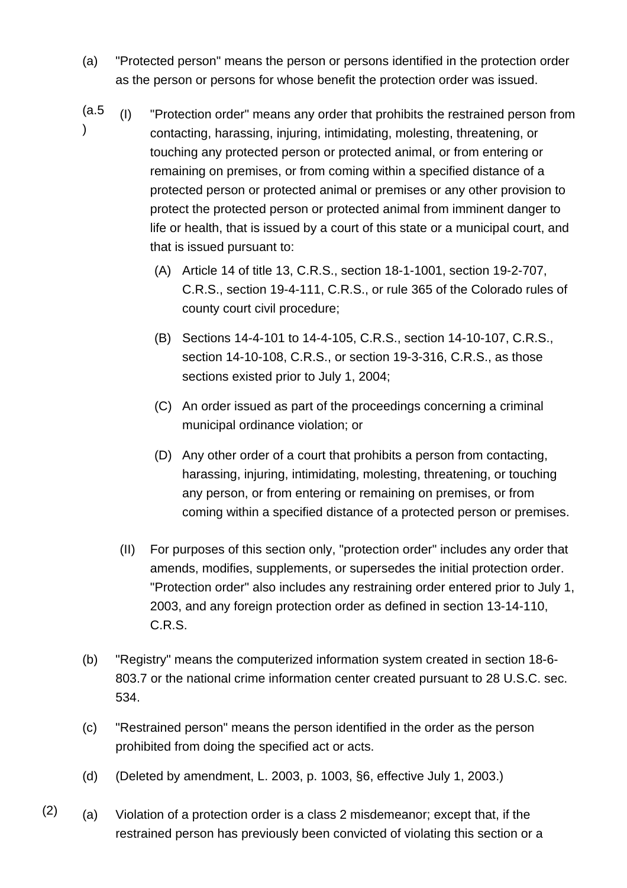- (a) "Protected person" means the person or persons identified in the protection order as the person or persons for whose benefit the protection order was issued.
- (a.5 ) (I) "Protection order" means any order that prohibits the restrained person from contacting, harassing, injuring, intimidating, molesting, threatening, or touching any protected person or protected animal, or from entering or remaining on premises, or from coming within a specified distance of a protected person or protected animal or premises or any other provision to protect the protected person or protected animal from imminent danger to life or health, that is issued by a court of this state or a municipal court, and that is issued pursuant to:
	- (A) Article 14 of title 13, C.R.S., section 18-1-1001, section 19-2-707, C.R.S., section 19-4-111, C.R.S., or rule 365 of the Colorado rules of county court civil procedure;
	- (B) Sections 14-4-101 to 14-4-105, C.R.S., section 14-10-107, C.R.S., section 14-10-108, C.R.S., or section 19-3-316, C.R.S., as those sections existed prior to July 1, 2004;
	- (C) An order issued as part of the proceedings concerning a criminal municipal ordinance violation; or
	- (D) Any other order of a court that prohibits a person from contacting, harassing, injuring, intimidating, molesting, threatening, or touching any person, or from entering or remaining on premises, or from coming within a specified distance of a protected person or premises.
	- (II) For purposes of this section only, "protection order" includes any order that amends, modifies, supplements, or supersedes the initial protection order. "Protection order" also includes any restraining order entered prior to July 1, 2003, and any foreign protection order as defined in section 13-14-110, C.R.S.
- (b) "Registry" means the computerized information system created in section 18-6- 803.7 or the national crime information center created pursuant to 28 U.S.C. sec. 534.
- (c) "Restrained person" means the person identified in the order as the person prohibited from doing the specified act or acts.
- (d) (Deleted by amendment, L. 2003, p. 1003, §6, effective July 1, 2003.)
- $(2)$  (a) Violation of a protection order is a class 2 misdemeanor; except that, if the restrained person has previously been convicted of violating this section or a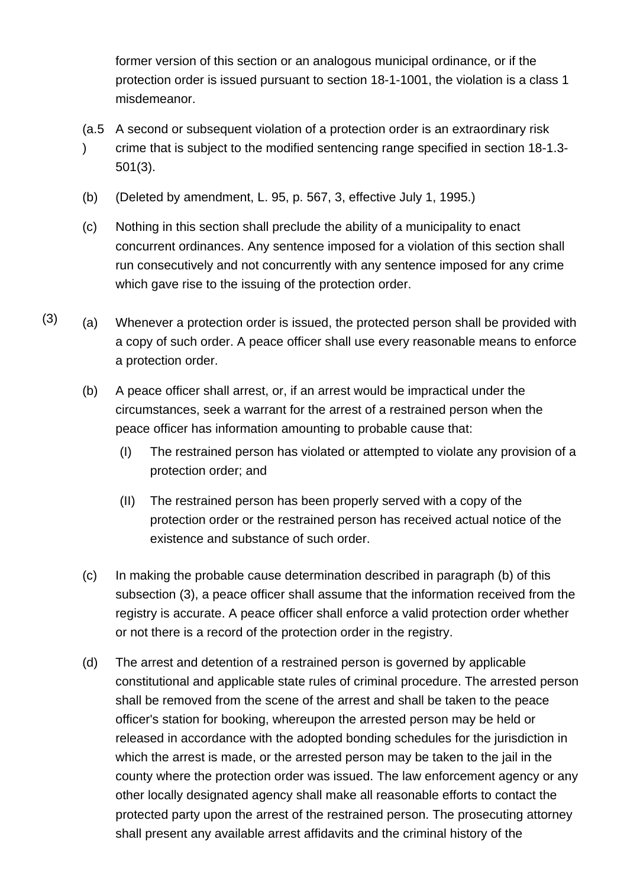former version of this section or an analogous municipal ordinance, or if the protection order is issued pursuant to section 18-1-1001, the violation is a class 1 misdemeanor.

- (a.5 A second or subsequent violation of a protection order is an extraordinary risk  $\lambda$ crime that is subject to the modified sentencing range specified in section 18-1.3- 501(3).
- (b) (Deleted by amendment, L. 95, p. 567, 3, effective July 1, 1995.)
- (c) Nothing in this section shall preclude the ability of a municipality to enact concurrent ordinances. Any sentence imposed for a violation of this section shall run consecutively and not concurrently with any sentence imposed for any crime which gave rise to the issuing of the protection order.
- $(3)$  (a) Whenever a protection order is issued, the protected person shall be provided with a copy of such order. A peace officer shall use every reasonable means to enforce a protection order.
	- (b) A peace officer shall arrest, or, if an arrest would be impractical under the circumstances, seek a warrant for the arrest of a restrained person when the peace officer has information amounting to probable cause that:
		- (I) The restrained person has violated or attempted to violate any provision of a protection order; and
		- (II) The restrained person has been properly served with a copy of the protection order or the restrained person has received actual notice of the existence and substance of such order.
	- (c) In making the probable cause determination described in paragraph (b) of this subsection (3), a peace officer shall assume that the information received from the registry is accurate. A peace officer shall enforce a valid protection order whether or not there is a record of the protection order in the registry.
	- (d) The arrest and detention of a restrained person is governed by applicable constitutional and applicable state rules of criminal procedure. The arrested person shall be removed from the scene of the arrest and shall be taken to the peace officer's station for booking, whereupon the arrested person may be held or released in accordance with the adopted bonding schedules for the jurisdiction in which the arrest is made, or the arrested person may be taken to the jail in the county where the protection order was issued. The law enforcement agency or any other locally designated agency shall make all reasonable efforts to contact the protected party upon the arrest of the restrained person. The prosecuting attorney shall present any available arrest affidavits and the criminal history of the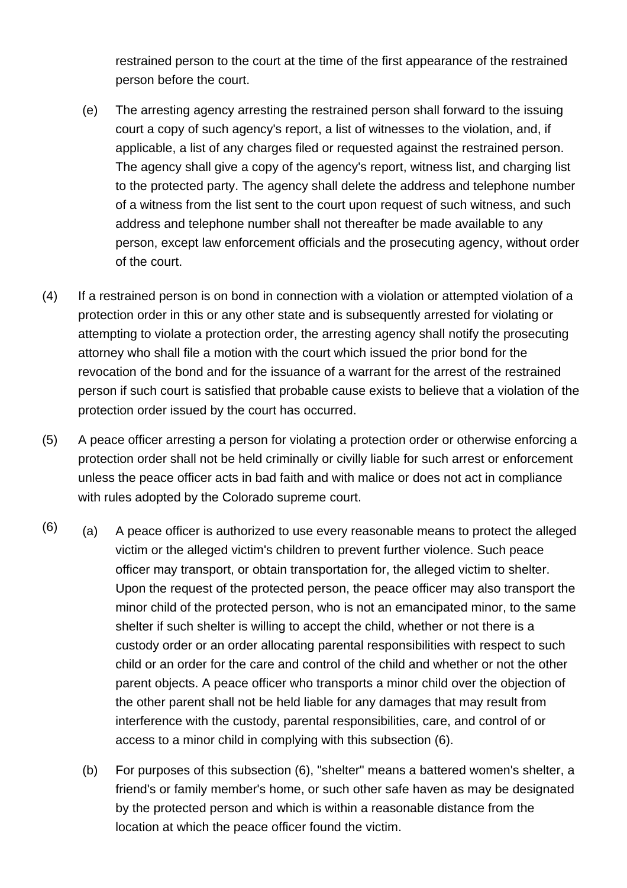restrained person to the court at the time of the first appearance of the restrained person before the court.

- (e) The arresting agency arresting the restrained person shall forward to the issuing court a copy of such agency's report, a list of witnesses to the violation, and, if applicable, a list of any charges filed or requested against the restrained person. The agency shall give a copy of the agency's report, witness list, and charging list to the protected party. The agency shall delete the address and telephone number of a witness from the list sent to the court upon request of such witness, and such address and telephone number shall not thereafter be made available to any person, except law enforcement officials and the prosecuting agency, without order of the court.
- (4) If a restrained person is on bond in connection with a violation or attempted violation of a protection order in this or any other state and is subsequently arrested for violating or attempting to violate a protection order, the arresting agency shall notify the prosecuting attorney who shall file a motion with the court which issued the prior bond for the revocation of the bond and for the issuance of a warrant for the arrest of the restrained person if such court is satisfied that probable cause exists to believe that a violation of the protection order issued by the court has occurred.
- (5) A peace officer arresting a person for violating a protection order or otherwise enforcing a protection order shall not be held criminally or civilly liable for such arrest or enforcement unless the peace officer acts in bad faith and with malice or does not act in compliance with rules adopted by the Colorado supreme court.
- $(6)$  (a) A peace officer is authorized to use every reasonable means to protect the alleged victim or the alleged victim's children to prevent further violence. Such peace officer may transport, or obtain transportation for, the alleged victim to shelter. Upon the request of the protected person, the peace officer may also transport the minor child of the protected person, who is not an emancipated minor, to the same shelter if such shelter is willing to accept the child, whether or not there is a custody order or an order allocating parental responsibilities with respect to such child or an order for the care and control of the child and whether or not the other parent objects. A peace officer who transports a minor child over the objection of the other parent shall not be held liable for any damages that may result from interference with the custody, parental responsibilities, care, and control of or access to a minor child in complying with this subsection (6).
	- (b) For purposes of this subsection (6), "shelter" means a battered women's shelter, a friend's or family member's home, or such other safe haven as may be designated by the protected person and which is within a reasonable distance from the location at which the peace officer found the victim.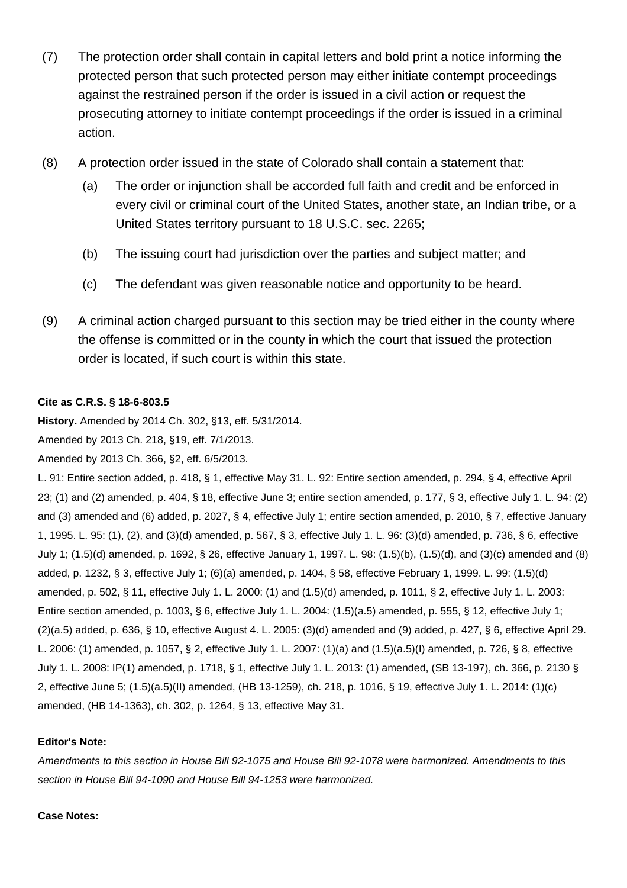- (7) The protection order shall contain in capital letters and bold print a notice informing the protected person that such protected person may either initiate contempt proceedings against the restrained person if the order is issued in a civil action or request the prosecuting attorney to initiate contempt proceedings if the order is issued in a criminal action.
- (8) A protection order issued in the state of Colorado shall contain a statement that:
	- (a) The order or injunction shall be accorded full faith and credit and be enforced in every civil or criminal court of the United States, another state, an Indian tribe, or a United States territory pursuant to 18 U.S.C. sec. 2265;
	- (b) The issuing court had jurisdiction over the parties and subject matter; and
	- (c) The defendant was given reasonable notice and opportunity to be heard.
- (9) A criminal action charged pursuant to this section may be tried either in the county where the offense is committed or in the county in which the court that issued the protection order is located, if such court is within this state.

## **Cite as C.R.S. § 18-6-803.5**

**History.** Amended by 2014 Ch. 302, §13, eff. 5/31/2014.

Amended by 2013 Ch. 218, §19, eff. 7/1/2013.

Amended by 2013 Ch. 366, §2, eff. 6/5/2013.

L. 91: Entire section added, p. 418, § 1, effective May 31. L. 92: Entire section amended, p. 294, § 4, effective April 23; (1) and (2) amended, p. 404, § 18, effective June 3; entire section amended, p. 177, § 3, effective July 1. L. 94: (2) and (3) amended and (6) added, p. 2027, § 4, effective July 1; entire section amended, p. 2010, § 7, effective January 1, 1995. L. 95: (1), (2), and (3)(d) amended, p. 567, § 3, effective July 1. L. 96: (3)(d) amended, p. 736, § 6, effective July 1; (1.5)(d) amended, p. 1692, § 26, effective January 1, 1997. L. 98: (1.5)(b), (1.5)(d), and (3)(c) amended and (8) added, p. 1232, § 3, effective July 1; (6)(a) amended, p. 1404, § 58, effective February 1, 1999. L. 99: (1.5)(d) amended, p. 502, § 11, effective July 1. L. 2000: (1) and (1.5)(d) amended, p. 1011, § 2, effective July 1. L. 2003: Entire section amended, p. 1003, § 6, effective July 1. L. 2004: (1.5)(a.5) amended, p. 555, § 12, effective July 1; (2)(a.5) added, p. 636, § 10, effective August 4. L. 2005: (3)(d) amended and (9) added, p. 427, § 6, effective April 29. L. 2006: (1) amended, p. 1057, § 2, effective July 1. L. 2007: (1)(a) and (1.5)(a.5)(I) amended, p. 726, § 8, effective July 1. L. 2008: IP(1) amended, p. 1718, § 1, effective July 1. L. 2013: (1) amended, (SB 13-197), ch. 366, p. 2130 § 2, effective June 5; (1.5)(a.5)(II) amended, (HB 13-1259), ch. 218, p. 1016, § 19, effective July 1. L. 2014: (1)(c) amended, (HB 14-1363), ch. 302, p. 1264, § 13, effective May 31.

### **Editor's Note:**

Amendments to this section in House Bill 92-1075 and House Bill 92-1078 were harmonized. Amendments to this section in House Bill 94-1090 and House Bill 94-1253 were harmonized.

### **Case Notes:**